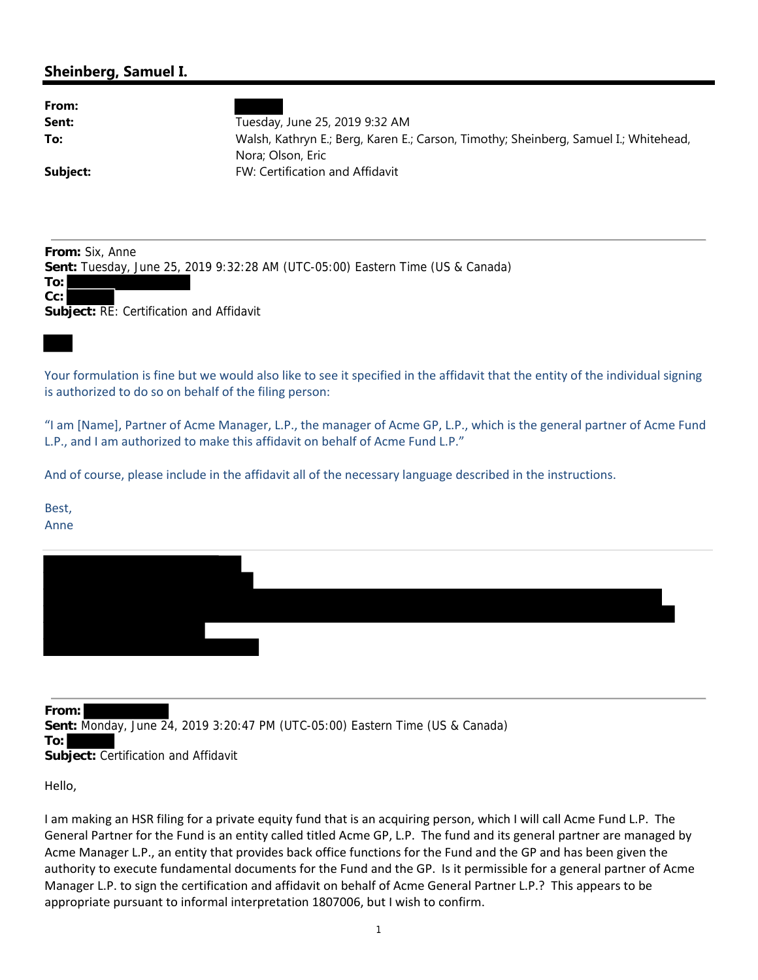## **Sheinberg, Samuel I.**

| From:    |                                                                                      |
|----------|--------------------------------------------------------------------------------------|
| Sent:    | Tuesday, June 25, 2019 9:32 AM                                                       |
| To:      | Walsh, Kathryn E.; Berg, Karen E.; Carson, Timothy; Sheinberg, Samuel I.; Whitehead, |
|          | Nora; Olson, Eric                                                                    |
| Subject: | FW: Certification and Affidavit                                                      |
|          |                                                                                      |

**From:** Six, Anne

**Sent:** Tuesday, June 25, 2019 9:32:28 AM (UTC-05:00) Eastern Time (US & Canada)

**To: Cc:**

**Subject:** RE: Certification and Affidavit

Your formulation is fine but we would also like to see it specified in the affidavit that the entity of the individual signing is authorized to do so on behalf of the filing person:

"I am [Name], Partner of Acme Manager, L.P., the manager of Acme GP, L.P., which is the general partner of Acme Fund L.P., and I am authorized to make this affidavit on behalf of Acme Fund L.P."

And of course, please include in the affidavit all of the necessary language described in the instructions.

Best, Anne

**From: Sent:** Monday, June 24, 2019 3:20:47 PM (UTC-05:00) Eastern Time (US & Canada) **To: Subject:** Certification and Affidavit

Hello,

I am making an HSR filing for a private equity fund that is an acquiring person, which I will call Acme Fund L.P. The General Partner for the Fund is an entity called titled Acme GP, L.P. The fund and its general partner are managed by Acme Manager L.P., an entity that provides back office functions for the Fund and the GP and has been given the authority to execute fundamental documents for the Fund and the GP. Is it permissible for a general partner of Acme Manager L.P. to sign the certification and affidavit on behalf of Acme General Partner L.P.? This appears to be appropriate pursuant to informal interpretation 1807006, but I wish to confirm.